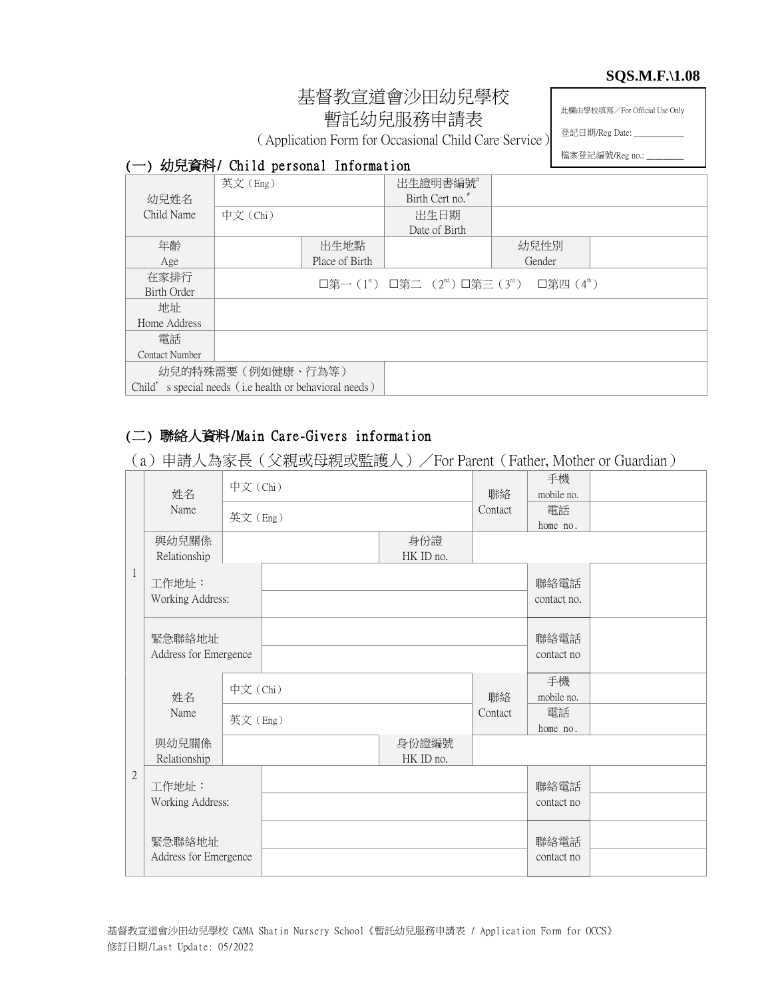#### **SQS.M.F.\1.08**

# 基督教宣道會沙田幼兒學校 暫託幼兒服務申請表

此欄由學校填寫/For Official Use Only

(Application Form for Occasional Child Care Service)

檔案登記編號/Reg no.: \_

登記日期/Reg Date: \_

#### (一) 幼兒資料/ Child personal Information

|                | 英文(Eng)                                                |                | 出生證明書編號                                                                                  |        |  |
|----------------|--------------------------------------------------------|----------------|------------------------------------------------------------------------------------------|--------|--|
| 幼兒姓名           |                                                        |                | Birth Cert no.                                                                           |        |  |
| Child Name     | 中文 (Chi)                                               |                | 出生日期                                                                                     |        |  |
|                |                                                        |                | Date of Birth                                                                            |        |  |
| 年齡             |                                                        | 出生地點           |                                                                                          | 幼兒性別   |  |
| Age            |                                                        | Place of Birth |                                                                                          | Gender |  |
| 在家排行           |                                                        |                | □第一(1 <sup>st</sup> ) □第二 (2 <sup>nd</sup> ) □第三(3 <sup>rd</sup> ) □第四(4 <sup>th</sup> ) |        |  |
| Birth Order    |                                                        |                |                                                                                          |        |  |
| 地址             |                                                        |                |                                                                                          |        |  |
| Home Address   |                                                        |                |                                                                                          |        |  |
| 電話             |                                                        |                |                                                                                          |        |  |
| Contact Number |                                                        |                |                                                                                          |        |  |
|                | 幼兒的特殊需要 (例如健康、行為等)                                     |                |                                                                                          |        |  |
|                | Child's special needs (i.e health or behavioral needs) |                |                                                                                          |        |  |

# (二) 聯絡人資料/Main Care-Givers information

(a)申請人為家長(父親或母親或監護人)/For Parent(Father, Mother or Guardian)

|                | 姓名                              | 中文 (Chi) |                    | 聯絡      | 手機<br>mobile no.    |  |
|----------------|---------------------------------|----------|--------------------|---------|---------------------|--|
|                | Name                            | 英文(Eng)  |                    | Contact | 電話<br>home no.      |  |
|                | 與幼兒關係<br>Relationship           |          | 身份證<br>HK ID no.   |         |                     |  |
| 1              | 工作地址:<br>Working Address:       |          |                    |         | 聯絡電話<br>contact no. |  |
|                | 緊急聯絡地址<br>Address for Emergence |          |                    |         | 聯絡電話<br>contact no  |  |
|                | 姓名                              | 中文(Chi)  |                    | 聯絡      | 手機<br>mobile no.    |  |
|                | Name                            | 英文(Eng)  |                    | Contact | 電話<br>home no.      |  |
|                | 與幼兒關係<br>Relationship           |          | 身份證編號<br>HK ID no. |         |                     |  |
| $\overline{2}$ | 工作地址:<br>Working Address:       |          |                    |         | 聯絡電話<br>contact no  |  |
|                | 緊急聯絡地址<br>Address for Emergence |          |                    |         | 聯絡電話<br>contact no  |  |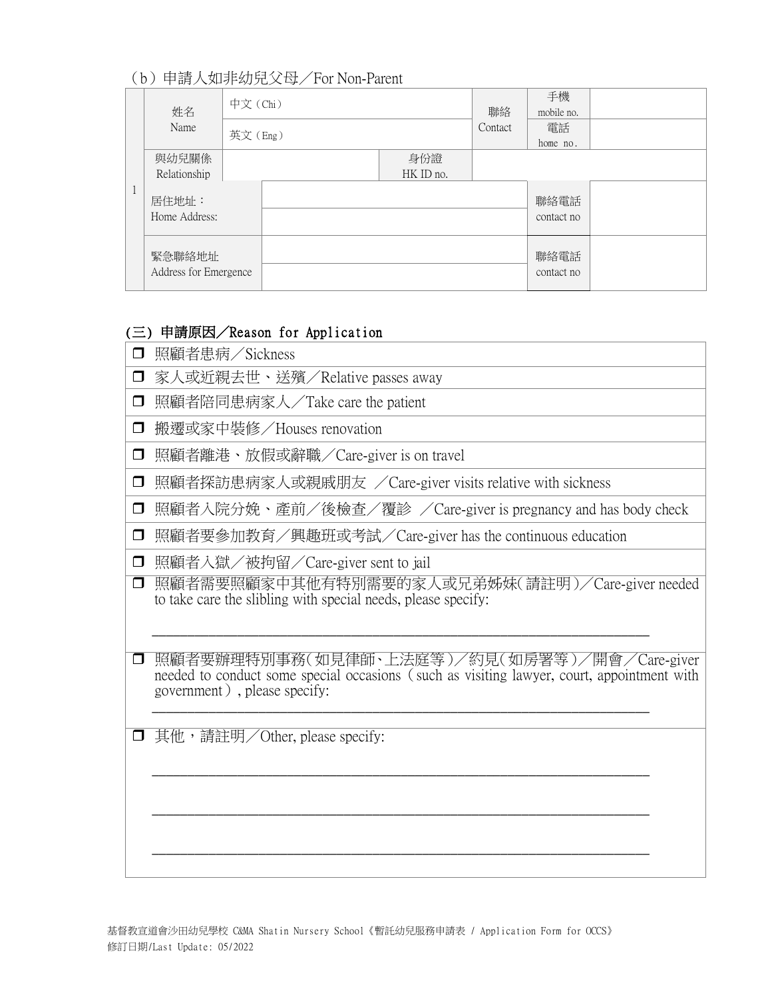## (b)申請人如非幼兒父母/For Non-Parent

|  | 姓名                              | 中文 (Chi) |         |                  | 聯絡 | 手機<br>mobile no.   |  |
|--|---------------------------------|----------|---------|------------------|----|--------------------|--|
|  | Name                            |          | 英文(Eng) |                  |    | 電話<br>home no.     |  |
|  | 與幼兒關係<br>Relationship           |          |         | 身份證<br>HK ID no. |    |                    |  |
|  | 居住地址:<br>Home Address:          |          |         |                  |    | 聯絡電話<br>contact no |  |
|  | 緊急聯絡地址<br>Address for Emergence |          |         |                  |    | 聯絡電話<br>contact no |  |

#### (三) 申請原因/Reason for Application

| 照顧者患病/Sickness |  |
|----------------|--|
|                |  |

- □ 家人或近親去世、送殯/Relative passes away
- □ 照顧者陪同患病家人/Take care the patient
- □ 搬遷或家中裝修/Houses renovation
- 照顧者離港、放假或辭職/Care-giver is on travel
- □ 照顧者探訪患病家人或親戚朋友 /Care-giver visits relative with sickness
- □ 照顧者入院分娩、產前/後檢查/覆診 /Care-giver is pregnancy and has body check
- □ 照顧者要參加教育/興趣班或考試/Care-giver has the continuous education
- □ 照顧者入獄/被拘留/Care-giver sent to jail
- □ 照顧者需要照顧家中其他有特別需要的家人或兄弟姊妹(請註明)/Care-giver needed to take care the slibling with special needs, please specify:

\_\_\_\_\_\_\_\_\_\_\_\_\_\_\_\_\_\_\_\_\_\_\_\_\_\_\_\_\_\_\_\_\_\_\_\_\_\_\_\_\_\_\_\_\_\_\_\_\_\_\_\_\_\_\_\_\_\_\_\_\_\_\_\_\_\_\_\_\_\_

\_\_\_\_\_\_\_\_\_\_\_\_\_\_\_\_\_\_\_\_\_\_\_\_\_\_\_\_\_\_\_\_\_\_\_\_\_\_\_\_\_\_\_\_\_\_\_\_\_\_\_\_\_\_\_\_\_\_\_\_\_\_\_\_\_\_\_\_\_\_

\_\_\_\_\_\_\_\_\_\_\_\_\_\_\_\_\_\_\_\_\_\_\_\_\_\_\_\_\_\_\_\_\_\_\_\_\_\_\_\_\_\_\_\_\_\_\_\_\_\_\_\_\_\_\_\_\_\_\_\_\_\_\_\_\_\_\_\_\_\_

\_\_\_\_\_\_\_\_\_\_\_\_\_\_\_\_\_\_\_\_\_\_\_\_\_\_\_\_\_\_\_\_\_\_\_\_\_\_\_\_\_\_\_\_\_\_\_\_\_\_\_\_\_\_\_\_\_\_\_\_\_\_\_\_\_\_\_\_\_\_

- 照顧者要辦理特別事務(如見律師、上法庭等)/約見(如房署等)/開會/Care-giver needed to conduct some special occasions (such as visiting lawyer, court, appointment with government), please specify: \_\_\_\_\_\_\_\_\_\_\_\_\_\_\_\_\_\_\_\_\_\_\_\_\_\_\_\_\_\_\_\_\_\_\_\_\_\_\_\_\_\_\_\_\_\_\_\_\_\_\_\_\_\_\_\_\_\_\_\_\_\_\_\_\_\_\_\_\_\_
- **□** 其他, 請註明/Other, please specify: